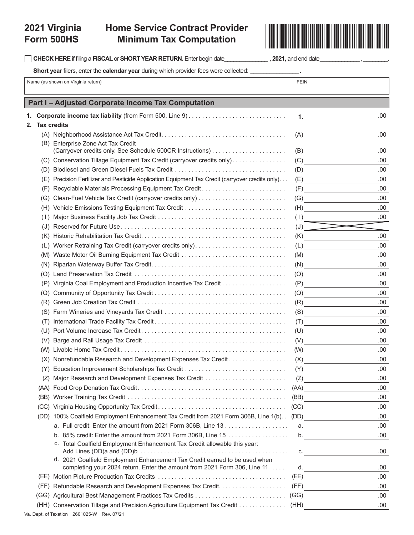# **Home Service Contract Provider Minimum Tax Computation**<br>Minimum Tax Computation



|            | Short year filers, enter the calendar year during which provider fees were collected:                                                                   |                                                                                                                                                                                                                                                                                                                                               |            |  |  |
|------------|---------------------------------------------------------------------------------------------------------------------------------------------------------|-----------------------------------------------------------------------------------------------------------------------------------------------------------------------------------------------------------------------------------------------------------------------------------------------------------------------------------------------|------------|--|--|
|            | Name (as shown on Virginia return)                                                                                                                      | <b>FEIN</b>                                                                                                                                                                                                                                                                                                                                   |            |  |  |
|            |                                                                                                                                                         |                                                                                                                                                                                                                                                                                                                                               |            |  |  |
|            | Part I - Adjusted Corporate Income Tax Computation                                                                                                      |                                                                                                                                                                                                                                                                                                                                               |            |  |  |
| 1.         |                                                                                                                                                         | $1.$ $\qquad \qquad$ $\qquad \qquad$ $\qquad$ $\qquad$ $\qquad$ $\qquad$ $\qquad$ $\qquad$ $\qquad$ $\qquad$ $\qquad$ $\qquad$ $\qquad$ $\qquad$ $\qquad$ $\qquad$ $\qquad$ $\qquad$ $\qquad$ $\qquad$ $\qquad$ $\qquad$ $\qquad$ $\qquad$ $\qquad$ $\qquad$ $\qquad$ $\qquad$ $\qquad$ $\qquad$ $\qquad$ $\qquad$ $\qquad$ $\qquad$ $\qquad$ | .00        |  |  |
| 2.         | <b>Tax credits</b>                                                                                                                                      |                                                                                                                                                                                                                                                                                                                                               |            |  |  |
|            |                                                                                                                                                         | (A)                                                                                                                                                                                                                                                                                                                                           | .00        |  |  |
|            | (B) Enterprise Zone Act Tax Credit                                                                                                                      |                                                                                                                                                                                                                                                                                                                                               |            |  |  |
|            |                                                                                                                                                         | (B)                                                                                                                                                                                                                                                                                                                                           | .00        |  |  |
|            | (C) Conservation Tillage Equipment Tax Credit (carryover credits only)                                                                                  | (C)                                                                                                                                                                                                                                                                                                                                           | .00        |  |  |
| (D)        |                                                                                                                                                         | (D)                                                                                                                                                                                                                                                                                                                                           | .00        |  |  |
| (E)        | Precision Fertilizer and Pesticide Application Equipment Tax Credit (carryover credits only)                                                            | (E)                                                                                                                                                                                                                                                                                                                                           | .00        |  |  |
| (F)        | Recyclable Materials Processing Equipment Tax Credit                                                                                                    | (F)                                                                                                                                                                                                                                                                                                                                           | .00        |  |  |
| (G)        | Vehicle Emissions Testing Equipment Tax Credit                                                                                                          | (G)                                                                                                                                                                                                                                                                                                                                           | .00<br>.00 |  |  |
| (H)        |                                                                                                                                                         | (H)<br>(1)                                                                                                                                                                                                                                                                                                                                    | .00        |  |  |
| (1)<br>(J) |                                                                                                                                                         | $\begin{array}{ccc} \text{(J)} & \text{ } \end{array}$                                                                                                                                                                                                                                                                                        |            |  |  |
| (K)        |                                                                                                                                                         | (K)                                                                                                                                                                                                                                                                                                                                           | .00        |  |  |
| (L)        | Worker Retraining Tax Credit (carryover credits only)                                                                                                   | $(L) \qquad \qquad \overbrace{\qquad \qquad }$                                                                                                                                                                                                                                                                                                | .00        |  |  |
| (M)        | Waste Motor Oil Burning Equipment Tax Credit                                                                                                            | (M)                                                                                                                                                                                                                                                                                                                                           | .00        |  |  |
| (N)        |                                                                                                                                                         | (N)<br><u> 1989 - Jan Alexandria (h. 1989).</u>                                                                                                                                                                                                                                                                                               | .00        |  |  |
| (O)        |                                                                                                                                                         | (O)                                                                                                                                                                                                                                                                                                                                           | .00        |  |  |
| (P)        |                                                                                                                                                         | (P)                                                                                                                                                                                                                                                                                                                                           | .00        |  |  |
| (Q)        |                                                                                                                                                         | (Q)<br><u> 1989 - Johann Barbara, martxa a</u>                                                                                                                                                                                                                                                                                                | .00        |  |  |
| (R)        |                                                                                                                                                         | (R)                                                                                                                                                                                                                                                                                                                                           | .00        |  |  |
| (S)        |                                                                                                                                                         | (S)<br><u> 1990 - Jan Alexandria III.</u>                                                                                                                                                                                                                                                                                                     | .00        |  |  |
| (1)        |                                                                                                                                                         | (T)                                                                                                                                                                                                                                                                                                                                           | .00        |  |  |
|            |                                                                                                                                                         | (U)                                                                                                                                                                                                                                                                                                                                           | .00        |  |  |
| (V)        |                                                                                                                                                         | (V)<br><u> 1990 - Jan Alexandria (</u>                                                                                                                                                                                                                                                                                                        | .00        |  |  |
|            |                                                                                                                                                         | (W)                                                                                                                                                                                                                                                                                                                                           | .00        |  |  |
|            | (X) Nonrefundable Research and Development Expenses Tax Credit                                                                                          | (X)                                                                                                                                                                                                                                                                                                                                           | .00        |  |  |
| (Y)        |                                                                                                                                                         | (Y)                                                                                                                                                                                                                                                                                                                                           | .00        |  |  |
| (Z)        |                                                                                                                                                         | (Z)                                                                                                                                                                                                                                                                                                                                           | .00        |  |  |
| (AA)       |                                                                                                                                                         | (AA)                                                                                                                                                                                                                                                                                                                                          | .00        |  |  |
| (BB)       |                                                                                                                                                         | (BB)                                                                                                                                                                                                                                                                                                                                          | .00        |  |  |
| (CC)       |                                                                                                                                                         | (CC)                                                                                                                                                                                                                                                                                                                                          | .00        |  |  |
| (DD)       | 100% Coalfield Employment Enhancement Tax Credit from 2021 Form 306B, Line 1(b). .                                                                      | (DD)                                                                                                                                                                                                                                                                                                                                          | .00        |  |  |
|            |                                                                                                                                                         | a. $\qquad \qquad$                                                                                                                                                                                                                                                                                                                            | .00        |  |  |
|            | b. 85% credit: Enter the amount from 2021 Form 306B, Line 15                                                                                            | $\mathsf b.$                                                                                                                                                                                                                                                                                                                                  | .00        |  |  |
|            | c. Total Coalfield Employment Enhancement Tax Credit allowable this year:                                                                               | C.                                                                                                                                                                                                                                                                                                                                            | .00        |  |  |
|            | d. 2021 Coalfield Employment Enhancement Tax Credit earned to be used when<br>completing your 2024 return. Enter the amount from 2021 Form 306, Line 11 | d.                                                                                                                                                                                                                                                                                                                                            | .00        |  |  |
|            |                                                                                                                                                         | (EE)                                                                                                                                                                                                                                                                                                                                          | .00        |  |  |
|            |                                                                                                                                                         | (FF)                                                                                                                                                                                                                                                                                                                                          | .00        |  |  |
|            | (GG) Agricultural Best Management Practices Tax Credits                                                                                                 | (GG)<br>the contract of the contract of                                                                                                                                                                                                                                                                                                       | .00        |  |  |
|            | (HH) Conservation Tillage and Precision Agriculture Equipment Tax Credit                                                                                | (HH)                                                                                                                                                                                                                                                                                                                                          | .00        |  |  |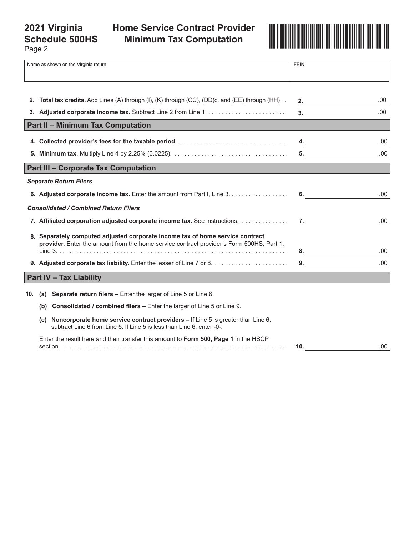# **2021 Virginia Schedule 500HS**

# **Minimum Tax Computation**



Page 2

| Name as shown on the Virginia return                                                                                                                                      |                                                                                                                                                                     | <b>FEIN</b>      |      |
|---------------------------------------------------------------------------------------------------------------------------------------------------------------------------|---------------------------------------------------------------------------------------------------------------------------------------------------------------------|------------------|------|
|                                                                                                                                                                           |                                                                                                                                                                     |                  |      |
|                                                                                                                                                                           | 2. Total tax credits. Add Lines (A) through (I), (K) through (CC), (DD)c, and (EE) through (HH)                                                                     | 2.               | .00  |
|                                                                                                                                                                           |                                                                                                                                                                     |                  | .00. |
|                                                                                                                                                                           | <b>Part II - Minimum Tax Computation</b>                                                                                                                            |                  |      |
|                                                                                                                                                                           | 4. Collected provider's fees for the taxable period                                                                                                                 | $\overline{4}$ . | .00. |
|                                                                                                                                                                           |                                                                                                                                                                     | 5.               | .00  |
|                                                                                                                                                                           | <b>Part III - Corporate Tax Computation</b>                                                                                                                         |                  |      |
|                                                                                                                                                                           | <b>Separate Return Filers</b>                                                                                                                                       |                  |      |
|                                                                                                                                                                           | 6. Adjusted corporate income tax. Enter the amount from Part I, Line 3.                                                                                             | 6.               | .00  |
|                                                                                                                                                                           | <b>Consolidated / Combined Return Filers</b>                                                                                                                        |                  |      |
|                                                                                                                                                                           | 7. Affiliated corporation adjusted corporate income tax. See instructions.                                                                                          | 7.               | .00. |
| 8. Separately computed adjusted corporate income tax of home service contract<br>provider. Enter the amount from the home service contract provider's Form 500HS, Part 1, |                                                                                                                                                                     |                  |      |
|                                                                                                                                                                           |                                                                                                                                                                     | 8.               | .00  |
|                                                                                                                                                                           |                                                                                                                                                                     | 9.               | .00  |
|                                                                                                                                                                           | <b>Part IV - Tax Liability</b>                                                                                                                                      |                  |      |
| 10.                                                                                                                                                                       | (a) Separate return filers $-$ Enter the larger of Line 5 or Line 6.                                                                                                |                  |      |
|                                                                                                                                                                           | (b) Consolidated / combined filers - Enter the larger of Line 5 or Line 9.                                                                                          |                  |      |
|                                                                                                                                                                           | Noncorporate home service contract providers – If Line 5 is greater than Line 6,<br>(c)  <br>subtract Line 6 from Line 5. If Line 5 is less than Line 6, enter -0-. |                  |      |
|                                                                                                                                                                           | Enter the result here and then transfer this amount to Form 500, Page 1 in the HSCP                                                                                 | 10.              | .00  |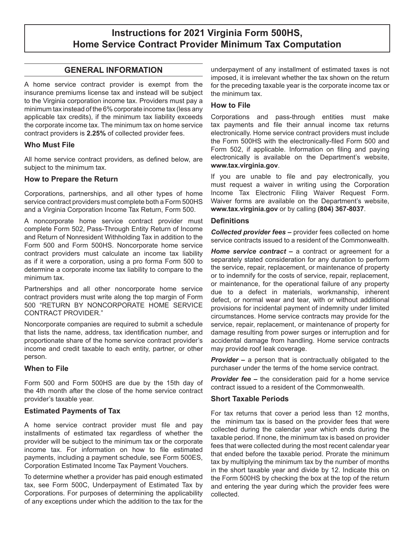# **Instructions for 2021 Virginia Form 500HS, Home Service Contract Provider Minimum Tax Computation**

### **GENERAL INFORMATION**

A home service contract provider is exempt from the insurance premiums license tax and instead will be subject to the Virginia corporation income tax. Providers must pay a minimum tax instead of the 6% corporate income tax (less any applicable tax credits), if the minimum tax liability exceeds the corporate income tax. The minimum tax on home service contract providers is **2.25%** of collected provider fees.

#### **Who Must File**

All home service contract providers*,* as defined below, are subject to the minimum tax.

#### **How to Prepare the Return**

Corporations, partnerships, and all other types of home service contract providers must complete both a Form 500HS and a Virginia Corporation Income Tax Return, Form 500.

A noncorporate home service contract provider must complete Form 502, Pass-Through Entity Return of Income and Return of Nonresident Withholding Tax in addition to the Form 500 and Form 500HS. Noncorporate home service contract providers must calculate an income tax liability as if it were a corporation, using a pro forma Form 500 to determine a corporate income tax liability to compare to the minimum tax.

Partnerships and all other noncorporate home service contract providers must write along the top margin of Form 500 "RETURN BY NONCORPORATE HOME SERVICE CONTRACT PROVIDER."

Noncorporate companies are required to submit a schedule that lists the name, address, tax identification number, and proportionate share of the home service contract provider's income and credit taxable to each entity, partner, or other person.

#### **When to File**

Form 500 and Form 500HS are due by the 15th day of the 4th month after the close of the home service contract provider's taxable year.

#### **Estimated Payments of Tax**

A home service contract provider must file and pay installments of estimated tax regardless of whether the provider will be subject to the minimum tax or the corporate income tax. For information on how to file estimated payments, including a payment schedule, see Form 500ES, Corporation Estimated Income Tax Payment Vouchers.

To determine whether a provider has paid enough estimated tax, see Form 500C, Underpayment of Estimated Tax by Corporations. For purposes of determining the applicability of any exceptions under which the addition to the tax for the

underpayment of any installment of estimated taxes is not imposed, it is irrelevant whether the tax shown on the return for the preceding taxable year is the corporate income tax or the minimum tax.

#### **How to File**

Corporations and pass-through entities must make tax payments and file their annual income tax returns electronically. Home service contract providers must include the Form 500HS with the electronically-filed Form 500 and Form 502, if applicable. Information on filing and paying electronically is available on the Department's website, **www.tax.virginia.gov**.

If you are unable to file and pay electronically, you must request a waiver in writing using the Corporation Income Tax Electronic Filing Waiver Request Form. Waiver forms are available on the Department's website, **www.tax.virginia.gov** or by calling **(804) 367-8037**.

#### **Definitions**

*Collected provider fees –* provider fees collected on home service contracts issued to a resident of the Commonwealth.

*Home service contract – a contract or agreement for a* separately stated consideration for any duration to perform the service, repair, replacement, or maintenance of property or to indemnify for the costs of service, repair, replacement, or maintenance, for the operational failure of any property due to a defect in materials, workmanship, inherent defect, or normal wear and tear, with or without additional provisions for incidental payment of indemnity under limited circumstances. Home service contracts may provide for the service, repair, replacement, or maintenance of property for damage resulting from power surges or interruption and for accidental damage from handling. Home service contracts may provide roof leak coverage.

**Provider –** a person that is contractually obligated to the purchaser under the terms of the home service contract.

*Provider fee –* the consideration paid for a home service contract issued to a resident of the Commonwealth.

#### **Short Taxable Periods**

For tax returns that cover a period less than 12 months, the minimum tax is based on the provider fees that were collected during the calendar year which ends during the taxable period. If none, the minimum tax is based on provider fees that were collected during the most recent calendar year that ended before the taxable period. Prorate the minimum tax by multiplying the minimum tax by the number of months in the short taxable year and divide by 12. Indicate this on the Form 500HS by checking the box at the top of the return and entering the year during which the provider fees were collected.